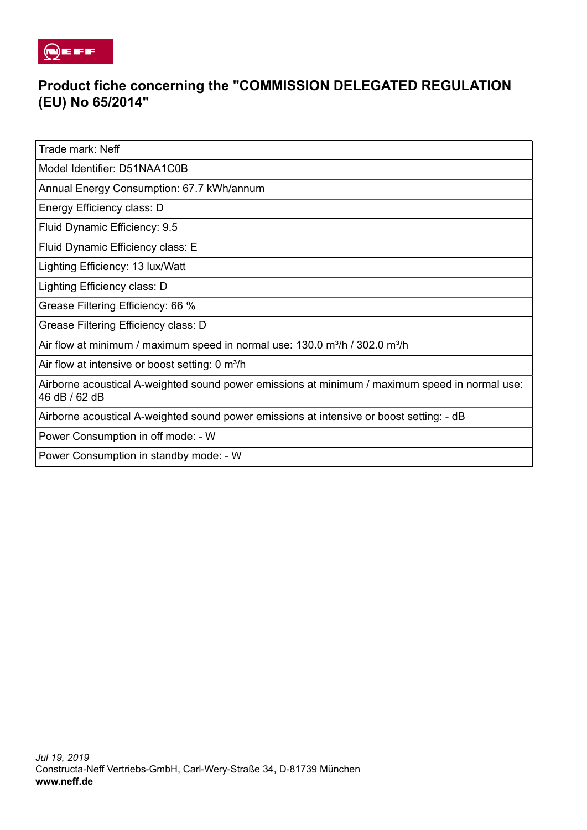

## **Product fiche concerning the "COMMISSION DELEGATED REGULATION (EU) No 65/2014"**

Trade mark: Neff

Model Identifier: D51NAA1C0B

Annual Energy Consumption: 67.7 kWh/annum

Energy Efficiency class: D

Fluid Dynamic Efficiency: 9.5

Fluid Dynamic Efficiency class: E

Lighting Efficiency: 13 lux/Watt

Lighting Efficiency class: D

Grease Filtering Efficiency: 66 %

Grease Filtering Efficiency class: D

Air flow at minimum / maximum speed in normal use:  $130.0$  m<sup>3</sup>/h /  $302.0$  m<sup>3</sup>/h

Air flow at intensive or boost setting: 0 m<sup>3</sup>/h

Airborne acoustical A-weighted sound power emissions at minimum / maximum speed in normal use: 46 dB / 62 dB

Airborne acoustical A-weighted sound power emissions at intensive or boost setting: - dB

Power Consumption in off mode: - W

Power Consumption in standby mode: - W